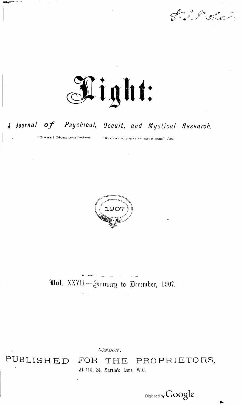J. S. R. Hale



## A Journal of Psychical, Occult, and Mystical Research.

"LIGHT! MORE LIGHT!"-Goethe.

"WHATEVER DOTH MAKE MANIFEST IS LIGHT."-Paul.



**Ool.** XXVII.—January to December, 1907.

LONDON:

PUBLISHED

#### PROPRIETORS, FOR THE At 110, St. Martin's Lane, W.C.

Digitized by Google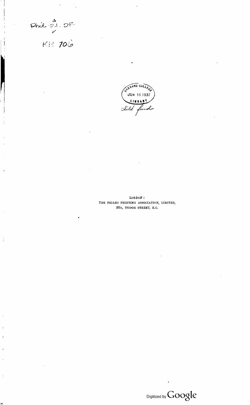Phil - 21. OF

 $\mathbf{I}$ 

**|** 

 $\overline{\phantom{a}}$ 

.<br>PC



LONDON: THE FRIARS PRINTING ASSOCIATION, LIMITED, 26A, TUDOR STREET, E.C.

 $\text{Digital by Google}$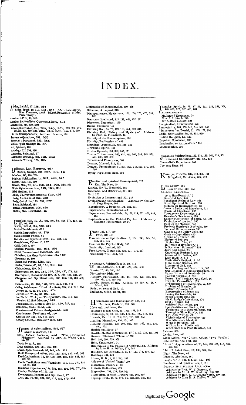## INDEX

A drice, Helpful, 67, 118, 424<br>Africa, South, 10, 316, 461, 611. (And see Morse,<br>Miss Florence, and Mediumship of Mrs.<br>Place-Veary.) **American S.P.B., IS, 316 American Spiritualists \* Convention., 504 Anesthetics, 514, 539. 552** Animals, Survival of, &c., 228, 240, 251, 263, 269, 275, 287, 299, 304, 310, 335, 345, 348, 356, 359, 579, 619<br>
<sup>1</sup>An Old Correspondent, 1 Letter from, 52<br>
Answer to Questions, 301, 585<br>
Apport of a Document, 252, 255<br>
Ans **Art, Spiritual, 448 Astrology, 112. 208, 516 Authority, Spiritual, 67 Automatic Drawing, 332. 342, 382 Automatic Writing, 135, 195**

B **alloonist, Lost, Returns, 497 Barlow, George, 361, 367, 392, 443 Beha'ism, 141,165, 233 Belgium, Spiritualism in. 327, 428, 542** Beliefs, Past, 430, 530<br>Besant, Mrs., 201, 278, 303, 344, 502, 512, 556<br>Bible, Opinions on the, 143, 166, 215 **Bird Medium, 413** Blind, Clairvoyance among the, 491<br>Body, Ascension of the, 230<br>Body, Out of the, 172, 227, 377<br>Brain, Spiritual, 484 **Burial, Premature, 305» 420 Butler, Mrs. Josephine, 45**

(Sampbell, Rev. R. J., 28, 56, 88, 208, 277, 453, 482, 208, 207, 545, 597<br>Cancer, Cure of, 264, 302, 611<br>Capital Punishment, 612<br>Carlyle, Inspiration of, 379 **Casts o! Spirit Faces, 41 Catholics and Spiritualism, 27, 285, 457 Cheerfulness, Value of, 357 Child, Only a, 497** Children, Psychic, 166, 221, 501<br>Christ, Personal and Cosmic, 185<br>Christians, Are they Spiritualists ? 365<br>Christmas, 34, 609 **Church and Future Life, 429 Circles, Private, 65, 99, 113, 240, 252** Clairaudience, 169, 545<br>Clairtoyance, 80, 150, 154, 167, 190, 435, 478, 545<br>Clairtoyance, Discoveries by, 374, 388, 466, 52d, 551<br>Clergmen and Spiritualism, 00, 202, 484, 493, 529,<br>533 **Coincidences, 23, 131, 178, 276. 513, 526, 544** Colley, Archdeacon, Libel Action, 207, 214, 222, 206<br>Colours, 22, 70, 83, 95, 143, 478<br>Colville, Mr. W. J., 22, 107, 251<br>Colville, Mr. W. J., 20, 107, 251<br>Colville, Mr. W. J., on Telepathy, 307, 314, 326<br>Comfort All that M **Consciousness, Problems of, 160 Crookes, Sir Win., 57, 411, 599 Cruelty a Mental Disease? 600, 012 i** Dangers' of Spiritualism, 261, 557<br>Danish Mysteries, 111<br>Davis, Andrew Jackson, and **·** The Harmonial<br>Philosophy.' Address by Mr. E. Wake Cook,<br>Daris, Dr. A. J., 488 Dean McNeile, 132, 144, 155, 180<br>Death, Apparitions at, 57, 141, 454, 494<br>Death Change and After, 100, 113, 316, 451, 487, 501<br>Death Intimations, 12, 39, 422, 440, 483, 526, 538, 543,<br>599, 620 **Death Predictions and Warnings. 101, 219, 340,344. 440,461, 563** Deathbed Experiences, 118, 252, 485, 494, 563, 576, 600<br>Destiny, Problem of, 173, 191<br>Development, Psychic and Spiritual, 77<br>Diet, 112, 170, 298, 324, 396, 419, 429, 470, 484

**Difficulties of Investigation, 210, 475 Dilemma, A Logical, 346 Disappearances, Mysterious, 125, 156, 179, 475, 524, 580 Disasters, Predicted, 133, 191, 469, 492, 011** Discovery, Important, 179<br>Divine Feminine, 100<br>Divining Rod, 64, 70, 119, 182, 454, 502, 615<br>Divining Rod, History and Mystery of. Address<br>by Prof. W. F. Barrett, 43<br>Divinity of the Commonplace, 172 Divinity, Realisation of, 458<br>Drawings, Automatic, 332, 342, 382<br>Drawings, Spirit, 191<br>Dream Episode, 303, 323, 352, 371<br>Dream Intimations, 266, 422, 483, 503, 526, 543, 552,<br>574, 586, 689, 620 Dreams and Phantasms, 503<br>Dreams, Musical, 311, 503<br>Dreams, Premonitory, 64, 334, 303, 440, 563, 570, 580,<br>536 **Dying Dog's Form Seen, 356** E **Era, The New, 55 Everitt, Mr. T., Memorial, 103 Evidential and Otherwise, 364, 380 motion and Spiritual Development, 512 Evil, 170 Evolution or Incarnation? 304, 347**

Evolution and Spiritualism. Address by the Rev.<br>J. Page Hopps, 103<br>Experiences, A Doctor's, 476, 524, 574<br>Experiences, Educational, 507 **Experiences, Remarkable, 24, 36, 214, 251, 420, 443, 455 Explorations in the Field of Psyche. Address by Madame d'Esperauce, 70,91**

F **acts, 183, 447, 480 Fate, 219, 415** Flammarion on Spiritualism, 2, 194, 242, 245, 280,<br>453, 534, 575<br>Frood for the Psychic Body, 245<br>Fraternity, Limited, 183<br>Free Agency, Man's, 504, 530, 564, 576, 587<br>Friendship with God, 540

G **ermany, Spiritualism in, 59, 319 Ghost Stories, 319, 411, 422, 434, 580 Ghosts, 17, 119, 340, 602** Glastonbury Dish, 370<br>(Hossary, Spiritualist, 443, 454, 465, 478, 489, 494,<br>509, 524, 532, 545, 562<br>Cnosis, Gospel of the. Address by Mr. G. R.S.<br>Mead, 163 **Gods; or Sons of God, 403 Guidance, Spirit, 33, 94, 598** H **ahnemann and Homieopathy, 525, 610 Harrison, Frederic, 233, 246** Hate and the Hater, 470<br>
Haunted House Case, 127, 332, 334, 345<br>
Hauntings, 57, 58, 101, 137, 146, 377, 400, 510, 551<br>
Hauntings, 57, 58, 101, 137, 146, 377, 400, 510, 551<br>
Hauling, Nental, 69, 116, 202, 305<br>
Healing, Nen Help, Unexpected, 94<br>
Hindmuest to the Sprend of Spiritualism. Address<br>
by Miss II. A. Dallas, 571, 583<br>
Hodgson, Dr. Richard, 3, 15, 87, 143, 171, 195, 233<br>
Holidays, 404, 440<br>
Home, D. D., 5, 112, 323, 341<br>
Home of Unshe **Human Radiations, 279 Hypnotism, 254, 336, 509, 516 Hypnotism or Spirit Power? 245, 261, 518 Hyslop, Prof., 15, S7, 171, 193, 233,364, 330, 413**

— dentity, Spirit, 26, 29, 67, 34, 122, 132, 154, 302,<br>— 428, 509, 523, 527, 501, 604<br>LLUSTRATIONS— Madame d'Espérance, 78<br>Mrs. L. I. Finch, 246<br>Mr. Gerald Massey, 525<br>Imagination, Illuminated, 476<br>Immortality, 169, 508, 513, 524, 537, 545<br>Immortality, 169, 508, 513, 555, 179, 101<br>India, Spiritualism in, 41, 352, 520<br>Ind **Inquirer Convinced, 395 Inspiration or Automatism ? 151 Introspection, 298**

J **Jews and Christianity, 245, 290, 433 Journalist's Experience, 351 apanese Spiritualism, 123, 134,139, 166, 255, 351 Joy as a Duty, 56**

K **aradja, Princess, 332, 342, 382, 401 Kingsford, Dr. Anna, 387, 476**

L **ast Enemy, 385 Law or Life, 442, 455** Leading Articles— 'As a Hamdhreadth,' 6<br>
Beautiful Life, 420<br>
Beneficent Reign of Law, 558<br>
Beneficent Reign of Law, 558<br>
Broad Spiritual Dullook, 510<br>
Buddha on Reincarnation, 18<br>
Charm of Christmas, 606<br>
Charm of Christmas, 606<br>
Desperie Libel Action. (See 'LtGHT,' Colley, 'Two Worlds.')<br>Life Beyond the Veil, 113<br>'LtGHT,' Appreciations of, 20, 148, 213, 455, 515, 528,<br>586, 609<br>'LtGHT' Libel Case, 127, 332, 334, 345 Light, The New, 63<br>
Lincoln, Abraham, 461<br>
Lodge, Sir O., 181, 452, 521, 537, 597<br>
Lombroso and Spiritualism, 3, 611<br>
LONDOS SPIRITUALIST ALLIANCE—<br>
Address by Prof. W. F. Barrett, 43<br>
Address by Nr. J. W. Boulding, 223, 2